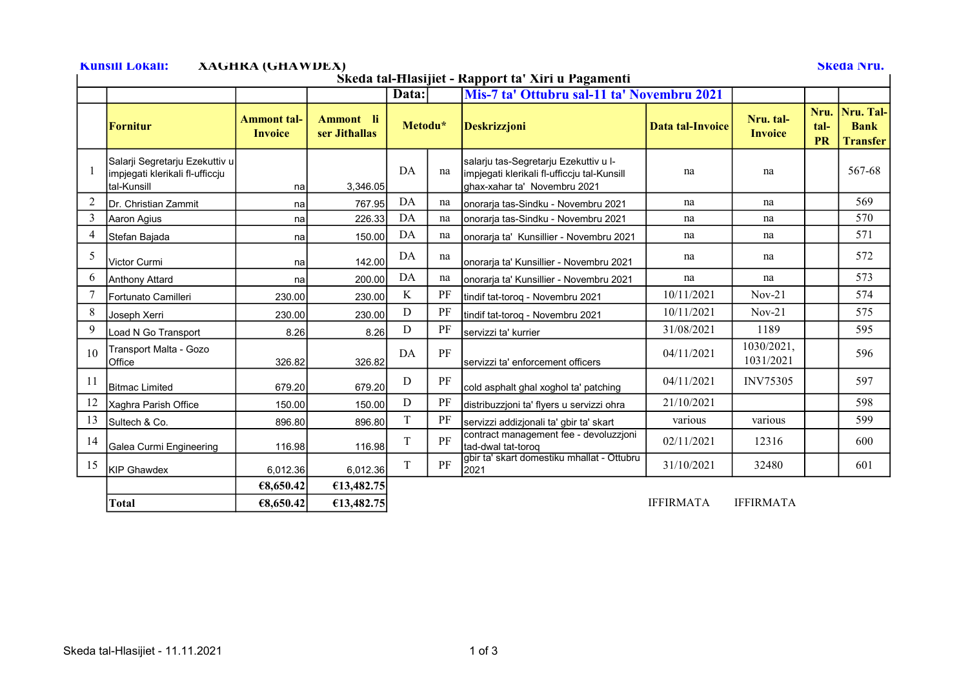## Kunsill Lokali: XAGHRA (GHAWDEX) Skeda Nru.

Skeda tal-Ħlasijiet - Rapport ta' Xiri u Pagamenti

| Skega tai-filasijiet - Kapport ta "Airi u Pagamenti |                                                                                   |                                      |                            |             |    |                                                                                                                      |                  |                             |                           |                                             |  |
|-----------------------------------------------------|-----------------------------------------------------------------------------------|--------------------------------------|----------------------------|-------------|----|----------------------------------------------------------------------------------------------------------------------|------------------|-----------------------------|---------------------------|---------------------------------------------|--|
|                                                     |                                                                                   |                                      |                            | Data:       |    | Mis-7 ta' Ottubru sal-11 ta' Novembru 2021                                                                           |                  |                             |                           |                                             |  |
|                                                     | <b>Fornitur</b>                                                                   | <b>Ammont tal-</b><br><b>Invoice</b> | Ammont li<br>ser Jithallas | Metodu*     |    | <b>Deskrizzjoni</b>                                                                                                  | Data tal-Invoice | Nru. tal-<br><b>Invoice</b> | Nru.<br>tal-<br><b>PR</b> | Nru. Tal-<br><b>Bank</b><br><b>Transfer</b> |  |
|                                                     | Salarji Segretarju Ezekuttiv u<br>impjegati klerikali fl-ufficcju<br>Ital-Kunsill | na                                   | 3,346.05                   | DA          | na | salarju tas-Segretarju Ezekuttiv u I-<br>impjegati klerikali fl-ufficcju tal-Kunsill<br>ghax-xahar ta' Novembru 2021 | na               | na                          |                           | 567-68                                      |  |
| $\overline{2}$                                      | Dr. Christian Zammit                                                              | na                                   | 767.95                     | DA          | na | Ionorarja tas-Sindku - Novembru 2021                                                                                 | na               | na                          |                           | 569                                         |  |
| 3                                                   | Aaron Agius                                                                       | na                                   | 226.33                     | DA          | na | Ionoraria tas-Sindku - Novembru 2021                                                                                 | na               | na                          |                           | 570                                         |  |
| $\overline{4}$                                      | Stefan Bajada                                                                     | na                                   | 150.00                     | DA          | na | onorarja ta' Kunsillier - Novembru 2021                                                                              | na               | na                          |                           | 571                                         |  |
| 5                                                   | Victor Curmi                                                                      | na                                   | 142.00                     | DA          | na | onorarja ta' Kunsillier - Novembru 2021                                                                              | na               | na                          |                           | 572                                         |  |
| 6                                                   | Anthony Attard                                                                    | na                                   | 200.00                     | DA          | na | Ionoraria ta' Kunsillier - Novembru 2021                                                                             | na               | na                          |                           | 573                                         |  |
|                                                     | <b>IFortunato Camilleri</b>                                                       | 230.00                               | 230.00                     | K           | PF | tindif tat-toroq - Novembru 2021                                                                                     | 10/11/2021       | $Nov-21$                    |                           | 574                                         |  |
| 8                                                   | Joseph Xerri                                                                      | 230.00                               | 230.00                     | D           | PF | tindif tat-torog - Novembru 2021                                                                                     | 10/11/2021       | $Nov-21$                    |                           | 575                                         |  |
| 9                                                   | Load N Go Transport                                                               | 8.26                                 | 8.26                       | D           | PF | servizzi ta' kurrier                                                                                                 | 31/08/2021       | 1189                        |                           | 595                                         |  |
| 10                                                  | Transport Malta - Gozo<br><b>Office</b>                                           | 326.82                               | 326.82                     | DA          | PF | servizzi ta' enforcement officers                                                                                    | 04/11/2021       | 1030/2021,<br>1031/2021     |                           | 596                                         |  |
| 11                                                  | <b>Bitmac Limited</b>                                                             | 679.20                               | 679.20                     | D           | PF | cold asphalt ghal xoghol ta' patching                                                                                | 04/11/2021       | <b>INV75305</b>             |                           | 597                                         |  |
| 12                                                  | Xaghra Parish Office                                                              | 150.00                               | 150.00                     | D           | PF | distribuzzjoni ta' flyers u servizzi ohra                                                                            | 21/10/2021       |                             |                           | 598                                         |  |
| 13                                                  | Sultech & Co.                                                                     | 896.80                               | 896.80                     | $\mathbf T$ | PF | servizzi addizjonali ta' gbir ta' skart                                                                              | various          | various                     |                           | 599                                         |  |
| 14                                                  | Galea Curmi Engineering                                                           | 116.98                               | 116.98                     | $\rm T$     | PF | contract management fee - devoluzzjoni<br>Itad-dwal tat-torog                                                        | 02/11/2021       | 12316                       |                           | 600                                         |  |
| 15                                                  | KIP Ghawdex                                                                       | 6,012.36                             | 6,012.36                   | $\rm T$     | PF | gbir ta' skart domestiku mhallat - Ottubru<br>2021                                                                   | 31/10/2021       | 32480                       |                           | 601                                         |  |
|                                                     |                                                                                   | €8,650.42                            | €13,482.75                 |             |    |                                                                                                                      |                  |                             |                           |                                             |  |
|                                                     | <b>Total</b>                                                                      | €8,650.42                            | €13,482.75                 |             |    |                                                                                                                      | <b>IFFIRMATA</b> | <b>IFFIRMATA</b>            |                           |                                             |  |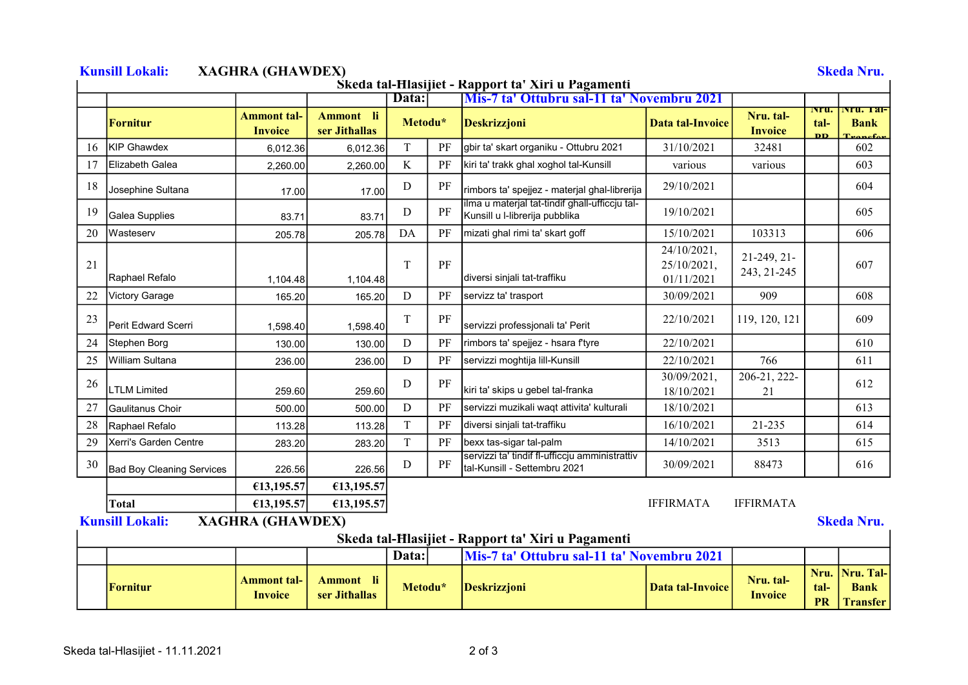|    |                                                                                                         |                                      |                            | Data:       |          | Śkeda tal-Hlasijiet - Rapport ta' Xiri u Pagamenti<br><b>Mis-7 ta' Ottubru sal-11 ta' Novembru 2021</b> |                                          |                             |                                          |                                                       |
|----|---------------------------------------------------------------------------------------------------------|--------------------------------------|----------------------------|-------------|----------|---------------------------------------------------------------------------------------------------------|------------------------------------------|-----------------------------|------------------------------------------|-------------------------------------------------------|
|    | <b>Fornitur</b>                                                                                         | <b>Ammont tal-</b><br><b>Invoice</b> | Ammont li<br>ser Jithallas | Metodu*     |          | <b>Deskrizzjoni</b>                                                                                     | Data tal-Invoice                         | Nru. tal-<br><b>Invoice</b> | INFU.<br>tal-<br>$\overline{\mathbf{D}}$ | Nru. 1a1-<br><b>Bank</b><br>$_{\alpha}$ f $_{\alpha}$ |
| 16 | KIP Ghawdex                                                                                             | 6,012.36                             | 6,012.36                   | T           | PF       | gbir ta' skart organiku - Ottubru 2021                                                                  | 31/10/2021                               | 32481                       |                                          | 602                                                   |
| 17 | Elizabeth Galea                                                                                         | 2,260.00                             | 2,260.00                   | K           | PF       | kiri ta' trakk ghal xoghol tal-Kunsill                                                                  | various                                  | various                     |                                          | 603                                                   |
| 18 | Josephine Sultana                                                                                       | 17.00                                | 17.00                      | D           | PF       | rimbors ta' spejjez - materjal ghal-librerija                                                           | 29/10/2021                               |                             |                                          | 604                                                   |
| 19 | Galea Supplies                                                                                          | 83.71                                | 83.71                      | $\mathbf D$ | PF       | ilma u materjal tat-tindif ghall-ufficcju tal-<br>Kunsill u I-librerija pubblika                        | 19/10/2021                               |                             |                                          | 605                                                   |
| 20 | Wasteserv                                                                                               | 205.78                               | 205.78                     | DA          | PF       | mizati ghal rimi ta' skart goff                                                                         | 15/10/2021                               | 103313                      |                                          | 606                                                   |
| 21 | Raphael Refalo                                                                                          | 1,104.48                             | 1,104.48                   | T           | $\rm PF$ | diversi sinjali tat-traffiku                                                                            | 24/10/2021,<br>25/10/2021,<br>01/11/2021 | 21-249, 21-<br>243, 21-245  |                                          | 607                                                   |
| 22 | <b>Victory Garage</b>                                                                                   | 165.20                               | 165.20                     | D           | PF       | servizz ta' trasport                                                                                    | 30/09/2021                               | 909                         |                                          | 608                                                   |
| 23 | Perit Edward Scerri                                                                                     | 1,598.40                             | 1,598.40                   | T           | PF       | servizzi professjonali ta' Perit                                                                        | 22/10/2021                               | 119, 120, 121               |                                          | 609                                                   |
| 24 | Stephen Borg                                                                                            | 130.00                               | 130.00                     | D           | PF       | rimbors ta' spejjez - hsara f'tyre                                                                      | 22/10/2021                               |                             |                                          | 610                                                   |
| 25 | William Sultana                                                                                         | 236.00                               | 236.00                     | D           | $\rm PF$ | servizzi moghtija lill-Kunsill                                                                          | 22/10/2021                               | 766                         |                                          | 611                                                   |
| 26 | <b>LTLM Limited</b>                                                                                     | 259.60                               | 259.60                     | D           | PF       | kiri ta' skips u gebel tal-franka                                                                       | 30/09/2021,<br>18/10/2021                | 206-21, 222-<br>21          |                                          | 612                                                   |
| 27 | Gaulitanus Choir                                                                                        | 500.00                               | 500.00                     | D           | PF       | servizzi muzikali waqt attivita' kulturali                                                              | 18/10/2021                               |                             |                                          | 613                                                   |
| 28 | Raphael Refalo                                                                                          | 113.28                               | 113.28                     | $\mathbf T$ | PF       | diversi sinjali tat-traffiku                                                                            | 16/10/2021                               | 21-235                      |                                          | 614                                                   |
| 29 | Xerri's Garden Centre                                                                                   | 283.20                               | 283.20                     | T           | PF       | bexx tas-sigar tal-palm                                                                                 | 14/10/2021                               | 3513                        |                                          | 615                                                   |
| 30 | <b>Bad Boy Cleaning Services</b>                                                                        | 226.56                               | 226.56                     | D           | PF       | servizzi ta' tindif fl-ufficcju amministrattiv<br>tal-Kunsill - Settembru 2021                          | 30/09/2021                               | 88473                       |                                          | 616                                                   |
|    |                                                                                                         | €13,195.57                           | €13,195.57                 |             |          |                                                                                                         |                                          |                             |                                          |                                                       |
|    | <b>Total</b>                                                                                            | €13,195.57                           | €13,195.57                 |             |          |                                                                                                         | <b>IFFIRMATA</b>                         | <b>IFFIRMATA</b>            |                                          |                                                       |
|    | <b>Kunsill Lokali:</b><br><b>XAGHRA (GHAWDEX)</b><br>Skeda tal-Hlasijiet - Rapport ta' Xiri u Pagamenti |                                      |                            |             |          |                                                                                                         |                                          |                             |                                          | <b>Skeda Nru.</b>                                     |
|    | Mis-7 ta' Ottubru sal-11 ta' Novembru 2021<br>Data:                                                     |                                      |                            |             |          |                                                                                                         |                                          |                             |                                          |                                                       |
|    | <b>Fornitur</b>                                                                                         | Ammont tal-<br>Invoice               | Ammont li<br>ser Jithallas | Metodu*     |          | <b>Deskrizzjoni</b>                                                                                     | <b>Data tal-Invoice</b>                  | Nru. tal-<br><b>Invoice</b> | Nru.<br>tal-<br><b>PR</b>                | Nru. Tal-<br><b>Bank</b><br><b>Transfer</b>           |

## Skeda tal-Hlasijiet - 11.11.2021 2 of 3